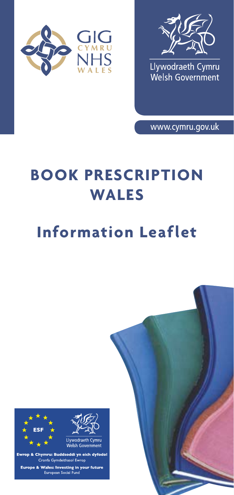



Llywodraeth Cymru<br>Welsh Government

www.cymru.gov.uk

# **BOOK PRESCRIPTION WALES**

## **Information Leaflet**



Cronfa Gymdeithasol Ewrop ope & Wales: Investing in your future<br>European Social Fund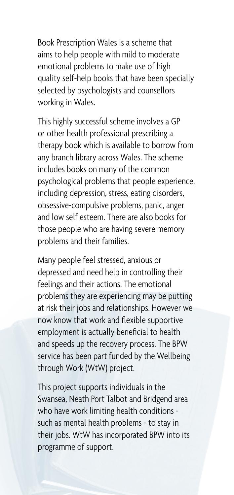Book Prescription Wales is a scheme that aims to help people with mild to moderate emotional problems to make use of high quality self-help books that have been specially selected by psychologists and counsellors working in Wales.

This highly successful scheme involves a GP or other health professional prescribing a therapy book which is available to borrow from any branch library across Wales. The scheme includes books on many of the common psychological problems that people experience, including depression, stress, eating disorders, obsessive-compulsive problems, panic, anger and low self esteem. There are also books for those people who are having severe memory problems and their families.

Many people feel stressed, anxious or depressed and need help in controlling their feelings and their actions. The emotional problems they are experiencing may be putting at risk their jobs and relationships. However we now know that work and flexible supportive employment is actually beneficial to health and speeds up the recovery process. The BPW service has been part funded by the Wellbeing through Work (WtW) project.

This project supports individuals in the Swansea, Neath Port Talbot and Bridgend area who have work limiting health conditions such as mental health problems - to stay in their jobs. WtW has incorporated BPW into its programme of support.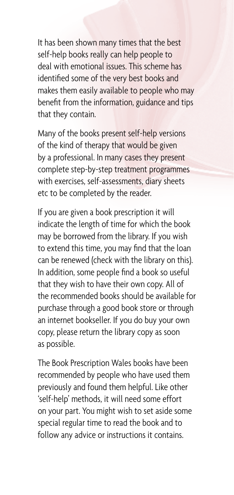It has been shown many times that the best self-help books really can help people to deal with emotional issues. This scheme has identified some of the very best books and makes them easily available to people who may benefit from the information, guidance and tips that they contain.

Many of the books present self-help versions of the kind of therapy that would be given by a professional. In many cases they present complete step-by-step treatment programmes with exercises, self-assessments, diary sheets etc to be completed by the reader.

If you are given a book prescription it will indicate the length of time for which the book may be borrowed from the library. If you wish to extend this time, you may find that the loan can be renewed (check with the library on this). In addition, some people find a book so useful that they wish to have their own copy. All of the recommended books should be available for purchase through a good book store or through an internet bookseller. If you do buy your own copy, please return the library copy as soon as possible.

The Book Prescription Wales books have been recommended by people who have used them previously and found them helpful. Like other 'self-help' methods, it will need some effort on your part. You might wish to set aside some special regular time to read the book and to follow any advice or instructions it contains.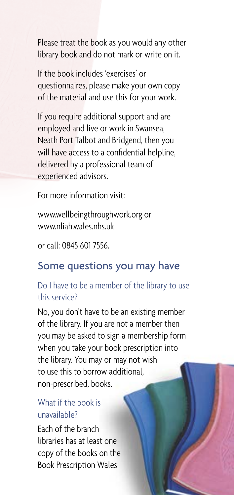Please treat the book as you would any other library book and do not mark or write on it.

If the book includes 'exercises' or questionnaires, please make your own copy of the material and use this for your work.

If you require additional support and are employed and live or work in Swansea, Neath Port Talbot and Bridgend, then you will have access to a confidential helpline. delivered by a professional team of experienced advisors.

For more information visit:

www.wellbeingthroughwork.org or www.nliah.wales.nhs.uk

or call: 0845 601 7556.

#### Some questions you may have

#### Do I have to be a member of the library to use this service?

No, you don't have to be an existing member of the library. If you are not a member then you may be asked to sign a membership form when you take your book prescription into the library. You may or may not wish to use this to borrow additional, non-prescribed, books.

#### What if the book is unavailable?

Each of the branch libraries has at least one copy of the books on the Book Prescription Wales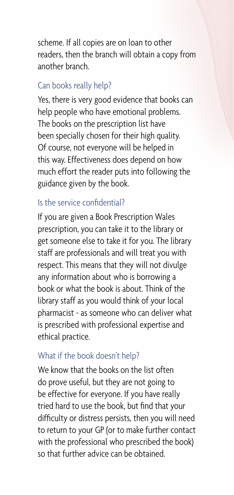scheme. If all copies are on loan to other readers, then the branch will obtain a copy from another branch.

## Can books really help?

Yes, there is very good evidence that books can help people who have emotional problems. The books on the prescription list have been specially chosen for their high quality. Of course, not everyone will be helped in this way. Effectiveness does depend on how much effort the reader puts into following the guidance given by the book.

## Is the service confidential?

If you are given a Book Prescription Wales prescription, you can take it to the library or get someone else to take it for you. The library staff are professionals and will treat you with respect. This means that they will not divulge any information about who is borrowing a book or what the book is about. Think of the library staff as you would think of your local pharmacist - as someone who can deliver what is prescribed with professional expertise and ethical practice.

## What if the book doesn't help?

We know that the books on the list often do prove useful, but they are not going to be effective for everyone. If you have really tried hard to use the book, but find that your difficulty or distress persists, then you will need to return to your GP (or to make further contact with the professional who prescribed the book) so that further advice can be obtained.